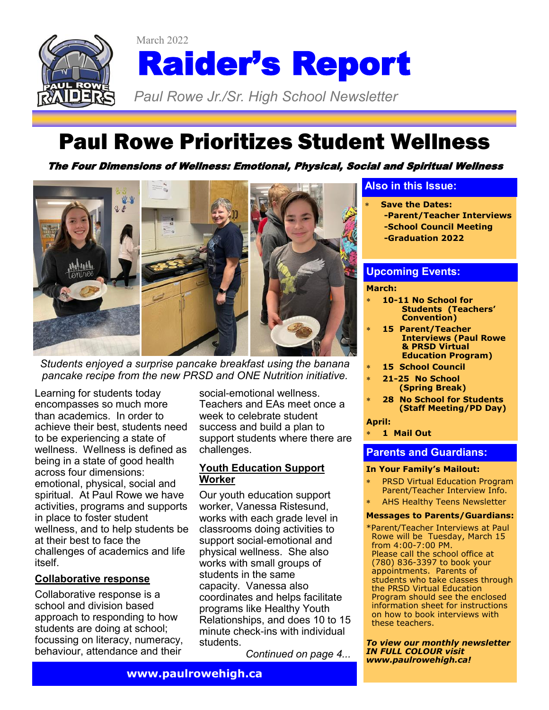

# Raider's Report

*Paul Rowe Jr./Sr. High School Newsletter* 

# Paul Rowe Prioritizes Student Wellness

The Four Dimensions of Wellness: Emotional, Physical, Social and Spiritual Wellness



March 2022

*Students enjoyed a surprise pancake breakfast using the banana pancake recipe from the new PRSD and ONE Nutrition initiative.*

Learning for students today encompasses so much more than academics. In order to achieve their best, students need to be experiencing a state of wellness. Wellness is defined as being in a state of good health across four dimensions: emotional, physical, social and spiritual. At Paul Rowe we have activities, programs and supports in place to foster student wellness, and to help students be at their best to face the challenges of academics and life itself.

#### **Collaborative response**

Collaborative response is a school and division based approach to responding to how students are doing at school; focussing on literacy, numeracy, behaviour, attendance and their

social-emotional wellness. Teachers and EAs meet once a week to celebrate student success and build a plan to support students where there are challenges.

#### **Youth Education Support Worker**

Our youth education support worker, Vanessa Ristesund, works with each grade level in classrooms doing activities to support social-emotional and physical wellness. She also works with small groups of students in the same capacity. Vanessa also coordinates and helps facilitate programs like Healthy Youth Relationships, and does 10 to 15 minute check-ins with individual students.

*Continued on page 4...*

#### **Also in this Issue:**

- **Save the Dates:**
	- **-Parent/Teacher Interviews**
	- **-School Council Meeting**
	- **-Graduation 2022**

#### **Upcoming Events:**

#### **March:**

- **10-11 No School for Students (Teachers' Convention)**
- **15 Parent/Teacher Interviews (Paul Rowe & PRSD Virtual Education Program)**
- **15 School Council**
- **21-25 No School**
- **(Spring Break)**
- **28 No School for Students (Staff Meeting/PD Day)**

#### **April:**

**1 Mail Out**

#### **Parents and Guardians:**

#### **In Your Family's Mailout:**

- PRSD Virtual Education Program Parent/Teacher Interview Info.
- AHS Healthy Teens Newsletter

#### **Messages to Parents/Guardians:**

\*Parent/Teacher Interviews at Paul Rowe will be Tuesday, March 15 from 4:00-7:00 PM. Please call the school office at (780) 836-3397 to book your appointments. Parents of students who take classes through the PRSD Virtual Education Program should see the enclosed information sheet for instructions on how to book interviews with these teachers.

*To view our monthly newsletter IN FULL COLOUR visit www.paulrowehigh.ca!*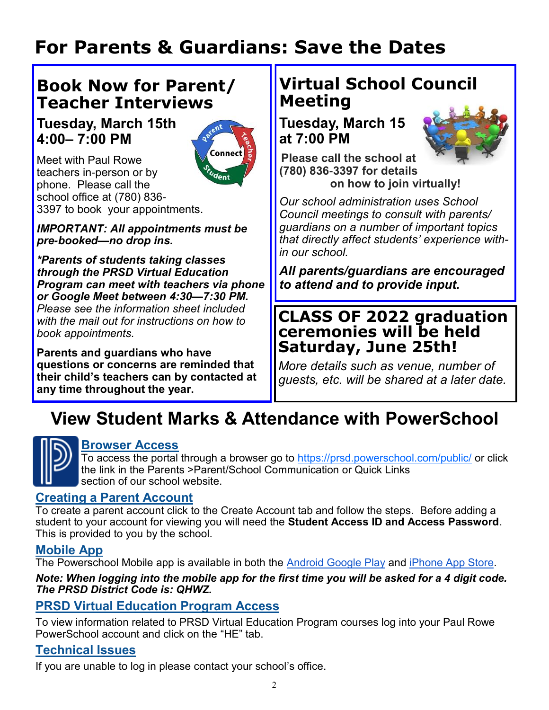# **For Parents & Guardians: Save the Dates**

# **Book Now for Parent/ Teacher Interviews**

#### **Tuesday, March 15th 4:00– 7:00 PM**



Meet with Paul Rowe teachers in-person or by phone. Please call the school office at (780) 836- 3397 to book your appointments.

*IMPORTANT: All appointments must be pre-booked—no drop ins.* 

*\*Parents of students taking classes through the PRSD Virtual Education Program can meet with teachers via phone or Google Meet between 4:30—7:30 PM. Please see the information sheet included with the mail out for instructions on how to book appointments.*

**Parents and guardians who have questions or concerns are reminded that their child's teachers can by contacted at any time throughout the year.**

# **Virtual School Council Meeting**

**Tuesday, March 15 at 7:00 PM**



**Please call the school at (780) 836-3397 for details on how to join virtually!**

*Our school administration uses School Council meetings to consult with parents/ guardians on a number of important topics that directly affect students' experience within our school.* 

*All parents/guardians are encouraged to attend and to provide input.*

#### **CLASS OF 2022 graduation ceremonies will be held Saturday, June 25th!**

*More details such as venue, number of guests, etc. will be shared at a later date.*

# **View Student Marks & Attendance with PowerSchool**



#### **Browser Access**

To access the portal through a browser go to <https://prsd.powerschool.com/public/> or click the link in the Parents >Parent/School Communication or Quick Links section of our school website.

#### **Creating a Parent Account**

To create a parent account click to the Create Account tab and follow the steps. Before adding a student to your account for viewing you will need the **Student Access ID and Access Password**. This is provided to you by the school.

#### **Mobile App**

The Powerschool Mobile app is available in both the [Android Google Play](https://play.google.com/store/apps/details?id=com.powerschool.portal&hl=en_CA) and [iPhone App Store.](https://apps.apple.com/ca/app/powerschool-mobile/id973741088)

*Note: When logging into the mobile app for the first time you will be asked for a 4 digit code. The PRSD District Code is: QHWZ.*

#### **PRSD Virtual Education Program Access**

To view information related to PRSD Virtual Education Program courses log into your Paul Rowe PowerSchool account and click on the "HE" tab.

#### **Technical Issues**

If you are unable to log in please contact your school's office.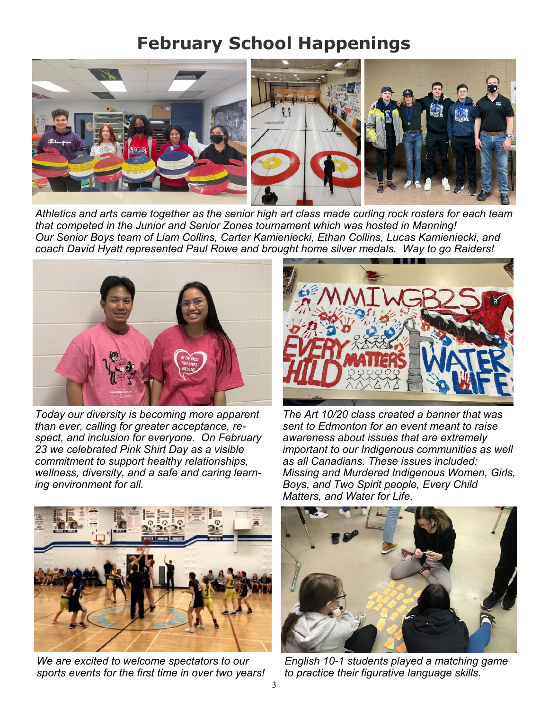# **February School Happenings**



*Athletics and arts came together as the senior high art class made curling rock rosters for each team that competed in the Junior and Senior Zones tournament which was hosted in Manning! Our Senior Boys team of Liam Collins, Carter Kamieniecki, Ethan Collins, Lucas Kamieniecki, and coach David Hyatt represented Paul Rowe and brought home silver medals. Way to go Raiders!* 



*Today our diversity is becoming more apparent than ever, calling for greater acceptance, respect, and inclusion for everyone. On February 23 we celebrated Pink Shirt Day as a visible commitment to support healthy relationships, wellness, diversity, and a safe and caring learning environment for all.*



*The Art 10/20 class created a banner that was sent to Edmonton for an event meant to raise awareness about issues that are extremely important to our Indigenous communities as well as all Canadians. These issues included: Missing and Murdered Indigenous Women, Girls, Boys, and Two Spirit people, Every Child Matters, and Water for Life.* 



*We are excited to welcome spectators to our sports events for the first time in over two years!* 



*English 10-1 students played a matching game to practice their figurative language skills.*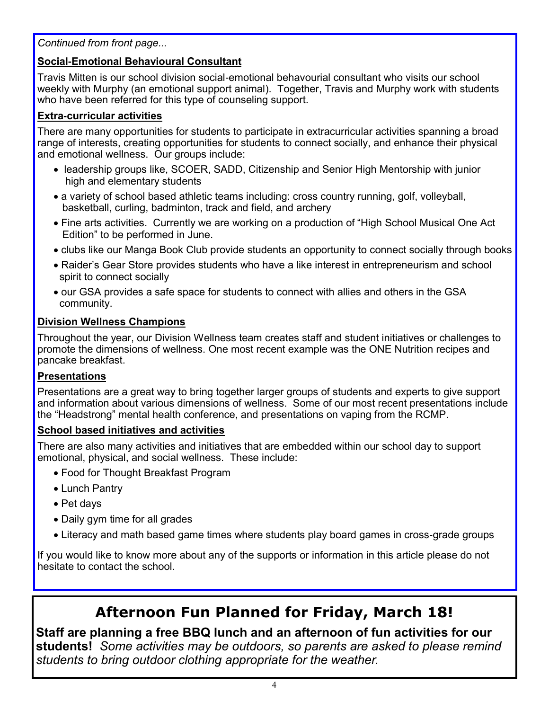*Continued from front page...*

#### **Social-Emotional Behavioural Consultant**

Travis Mitten is our school division social-emotional behavourial consultant who visits our school weekly with Murphy (an emotional support animal). Together, Travis and Murphy work with students who have been referred for this type of counseling support.

#### **Extra-curricular activities**

There are many opportunities for students to participate in extracurricular activities spanning a broad range of interests, creating opportunities for students to connect socially, and enhance their physical and emotional wellness. Our groups include:

- leadership groups like, SCOER, SADD, Citizenship and Senior High Mentorship with junior high and elementary students
- a variety of school based athletic teams including: cross country running, golf, volleyball, basketball, curling, badminton, track and field, and archery
- Fine arts activities. Currently we are working on a production of "High School Musical One Act Edition" to be performed in June.
- clubs like our Manga Book Club provide students an opportunity to connect socially through books
- Raider's Gear Store provides students who have a like interest in entrepreneurism and school spirit to connect socially
- our GSA provides a safe space for students to connect with allies and others in the GSA community.

#### **Division Wellness Champions**

Throughout the year, our Division Wellness team creates staff and student initiatives or challenges to promote the dimensions of wellness. One most recent example was the ONE Nutrition recipes and pancake breakfast.

#### **Presentations**

Presentations are a great way to bring together larger groups of students and experts to give support and information about various dimensions of wellness. Some of our most recent presentations include the "Headstrong" mental health conference, and presentations on vaping from the RCMP.

#### **School based initiatives and activities**

There are also many activities and initiatives that are embedded within our school day to support emotional, physical, and social wellness. These include:

- Food for Thought Breakfast Program
- Lunch Pantry
- Pet days
- Daily gym time for all grades
- Literacy and math based game times where students play board games in cross-grade groups

If you would like to know more about any of the supports or information in this article please do not hesitate to contact the school.

## **Afternoon Fun Planned for Friday, March 18!**

**Staff are planning a free BBQ lunch and an afternoon of fun activities for our students!** *Some activities may be outdoors, so parents are asked to please remind students to bring outdoor clothing appropriate for the weather.*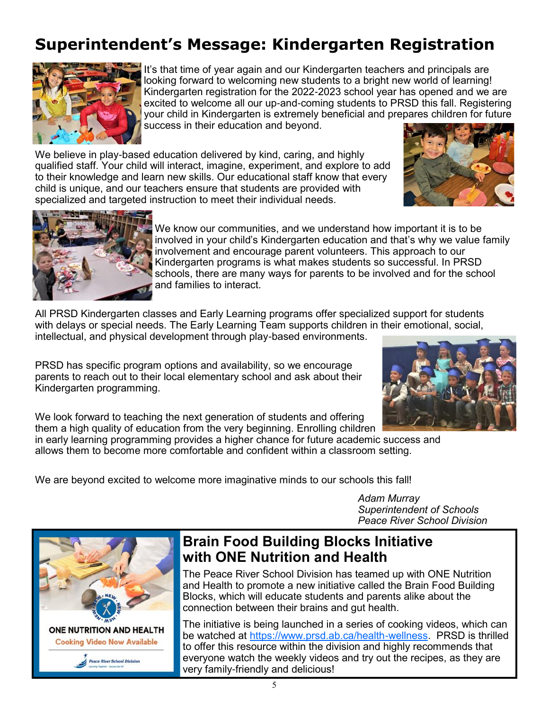# **Superintendent's Message: Kindergarten Registration**



It's that time of year again and our Kindergarten teachers and principals are looking forward to welcoming new students to a bright new world of learning! Kindergarten registration for the 2022-2023 school year has opened and we are excited to welcome all our up-and-coming students to PRSD this fall. Registering your child in Kindergarten is extremely beneficial and prepares children for future success in their education and beyond.

We believe in play-based education delivered by kind, caring, and highly qualified staff. Your child will interact, imagine, experiment, and explore to add to their knowledge and learn new skills. Our educational staff know that every child is unique, and our teachers ensure that students are provided with specialized and targeted instruction to meet their individual needs.





We know our communities, and we understand how important it is to be involved in your child's Kindergarten education and that's why we value family involvement and encourage parent volunteers. This approach to our Kindergarten programs is what makes students so successful. In PRSD schools, there are many ways for parents to be involved and for the school and families to interact.

All PRSD Kindergarten classes and Early Learning programs offer specialized support for students with delays or special needs. The Early Learning Team supports children in their emotional, social, intellectual, and physical development through play-based environments.

PRSD has specific program options and availability, so we encourage parents to reach out to their local elementary school and ask about their Kindergarten programming.



We look forward to teaching the next generation of students and offering them a high quality of education from the very beginning. Enrolling children

in early learning programming provides a higher chance for future academic success and allows them to become more comfortable and confident within a classroom setting.

We are beyond excited to welcome more imaginative minds to our schools this fall!

*Adam Murray Superintendent of Schools Peace River School Division* 



### **Brain Food Building Blocks Initiative with ONE Nutrition and Health**

The Peace River School Division has teamed up with ONE Nutrition and Health to promote a new initiative called the Brain Food Building Blocks, which will educate students and parents alike about the connection between their brains and gut health.

The initiative is being launched in a series of cooking videos, which can be watched at [https://www.prsd.ab.ca/health-wellness.](https://www.prsd.ab.ca/health-wellness) PRSD is thrilled to offer this resource within the division and highly recommends that everyone watch the weekly videos and try out the recipes, as they are very family-friendly and delicious!